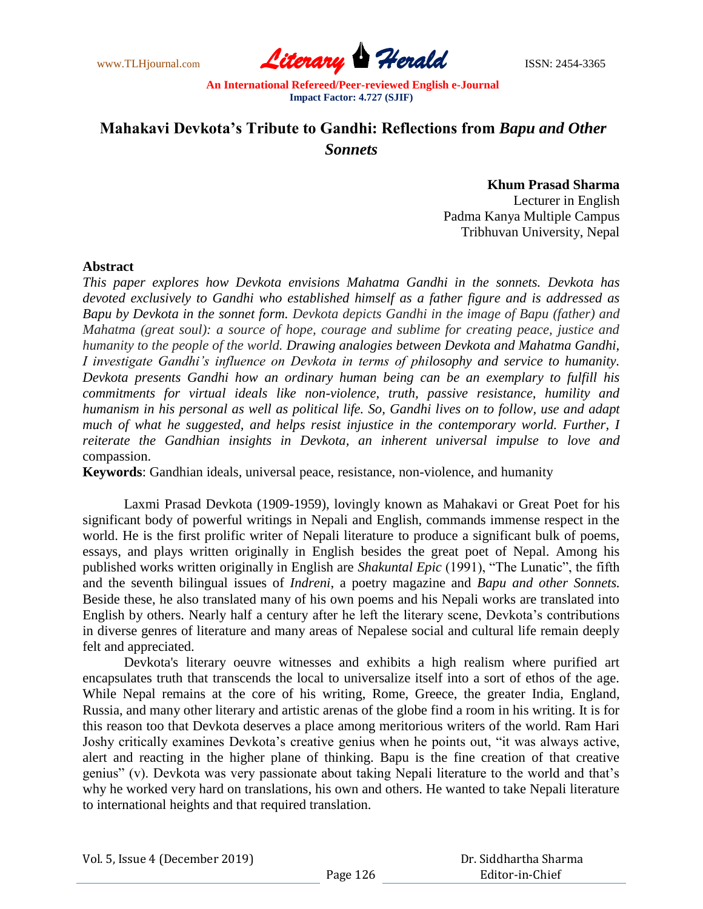

# **Mahakavi Devkota's Tribute to Gandhi: Reflections from** *Bapu and Other Sonnets*

**Khum Prasad Sharma**

Lecturer in English Padma Kanya Multiple Campus Tribhuvan University, Nepal

## **Abstract**

*This paper explores how Devkota envisions Mahatma Gandhi in the sonnets. Devkota has devoted exclusively to Gandhi who established himself as a father figure and is addressed as Bapu by Devkota in the sonnet form. Devkota depicts Gandhi in the image of Bapu (father) and Mahatma (great soul): a source of hope, courage and sublime for creating peace, justice and humanity to the people of the world. Drawing analogies between Devkota and Mahatma Gandhi, I investigate Gandhi's influence on Devkota in terms of philosophy and service to humanity. Devkota presents Gandhi how an ordinary human being can be an exemplary to fulfill his commitments for virtual ideals like non-violence, truth, passive resistance, humility and humanism in his personal as well as political life. So, Gandhi lives on to follow, use and adapt much of what he suggested, and helps resist injustice in the contemporary world. Further, I reiterate the Gandhian insights in Devkota, an inherent universal impulse to love and*  compassion.

**Keywords**: Gandhian ideals, universal peace, resistance, non-violence, and humanity

Laxmi Prasad Devkota (1909-1959), lovingly known as Mahakavi or Great Poet for his significant body of powerful writings in Nepali and English, commands immense respect in the world. He is the first prolific writer of Nepali literature to produce a significant bulk of poems, essays, and plays written originally in English besides the great poet of Nepal. Among his published works written originally in English are *Shakuntal Epic* (1991), "The Lunatic", the fifth and the seventh bilingual issues of *Indreni*, a poetry magazine and *Bapu and other Sonnets.*  Beside these, he also translated many of his own poems and his Nepali works are translated into English by others. Nearly half a century after he left the literary scene, Devkota"s contributions in diverse genres of literature and many areas of Nepalese social and cultural life remain deeply felt and appreciated.

Devkota's literary oeuvre witnesses and exhibits a high realism where purified art encapsulates truth that transcends the local to universalize itself into a sort of ethos of the age. While Nepal remains at the core of his writing, Rome, Greece, the greater India, England, Russia, and many other literary and artistic arenas of the globe find a room in his writing. It is for this reason too that Devkota deserves a place among meritorious writers of the world. Ram Hari Joshy critically examines Devkota"s creative genius when he points out, "it was always active, alert and reacting in the higher plane of thinking. Bapu is the fine creation of that creative genius" (v). Devkota was very passionate about taking Nepali literature to the world and that"s why he worked very hard on translations, his own and others. He wanted to take Nepali literature to international heights and that required translation.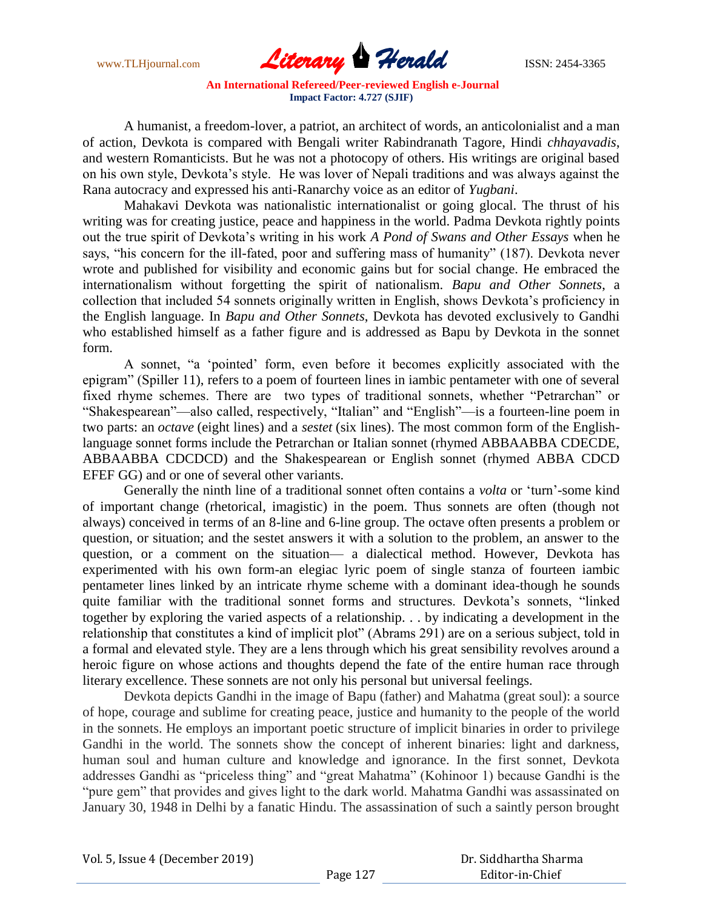

A humanist, a freedom-lover, a patriot, an architect of words, an anticolonialist and a man of action, Devkota is compared with Bengali writer Rabindranath Tagore, Hindi *chhayavadis*, and western Romanticists. But he was not a photocopy of others. His writings are original based on his own style, Devkota"s style. He was lover of Nepali traditions and was always against the Rana autocracy and expressed his anti-Ranarchy voice as an editor of *Yugbani*.

Mahakavi Devkota was nationalistic internationalist or going glocal. The thrust of his writing was for creating justice, peace and happiness in the world. Padma Devkota rightly points out the true spirit of Devkota"s writing in his work *A Pond of Swans and Other Essays* when he says, "his concern for the ill-fated, poor and suffering mass of humanity" (187). Devkota never wrote and published for visibility and economic gains but for social change. He embraced the internationalism without forgetting the spirit of nationalism. *Bapu and Other Sonnets*, a collection that included 54 sonnets originally written in English, shows Devkota"s proficiency in the English language. In *Bapu and Other Sonnets*, Devkota has devoted exclusively to Gandhi who established himself as a father figure and is addressed as Bapu by Devkota in the sonnet form.

A sonnet, "a "pointed" form, even before it becomes explicitly associated with the epigram" (Spiller 11), refers to a poem of fourteen lines in iambic pentameter with one of several fixed rhyme schemes. There are two types of traditional sonnets, whether "Petrarchan" or "Shakespearean"—also called, respectively, "Italian" and "English"—is a fourteen-line poem in two parts: an *octave* (eight lines) and a *sestet* (six lines). The most common form of the Englishlanguage sonnet forms include the Petrarchan or Italian sonnet (rhymed ABBAABBA CDECDE, ABBAABBA CDCDCD) and the Shakespearean or English sonnet (rhymed ABBA CDCD EFEF GG) and or one of several other variants.

Generally the ninth line of a traditional sonnet often contains a *volta* or 'turn'-some kind of important change (rhetorical, imagistic) in the poem. Thus sonnets are often (though not always) conceived in terms of an 8-line and 6-line group. The octave often presents a problem or question, or situation; and the sestet answers it with a solution to the problem, an answer to the question, or a comment on the situation— a dialectical method. However, Devkota has experimented with his own form-an elegiac lyric poem of single stanza of fourteen iambic pentameter lines linked by an intricate rhyme scheme with a dominant idea-though he sounds quite familiar with the traditional sonnet forms and structures. Devkota's sonnets, "linked together by exploring the varied aspects of a relationship. . . by indicating a development in the relationship that constitutes a kind of implicit plot" (Abrams 291) are on a serious subject, told in a formal and elevated style. They are a lens through which his great sensibility revolves around a heroic figure on whose actions and thoughts depend the fate of the entire human race through literary excellence. These sonnets are not only his personal but universal feelings.

Devkota depicts Gandhi in the image of Bapu (father) and Mahatma (great soul): a source of hope, courage and sublime for creating peace, justice and humanity to the people of the world in the sonnets. He employs an important poetic structure of implicit binaries in order to privilege Gandhi in the world. The sonnets show the concept of inherent binaries: light and darkness, human soul and human culture and knowledge and ignorance. In the first sonnet, Devkota addresses Gandhi as "priceless thing" and "great Mahatma" (Kohinoor 1) because Gandhi is the "pure gem" that provides and gives light to the dark world. Mahatma Gandhi was assassinated on January 30, 1948 in Delhi by a fanatic Hindu. The assassination of such a saintly person brought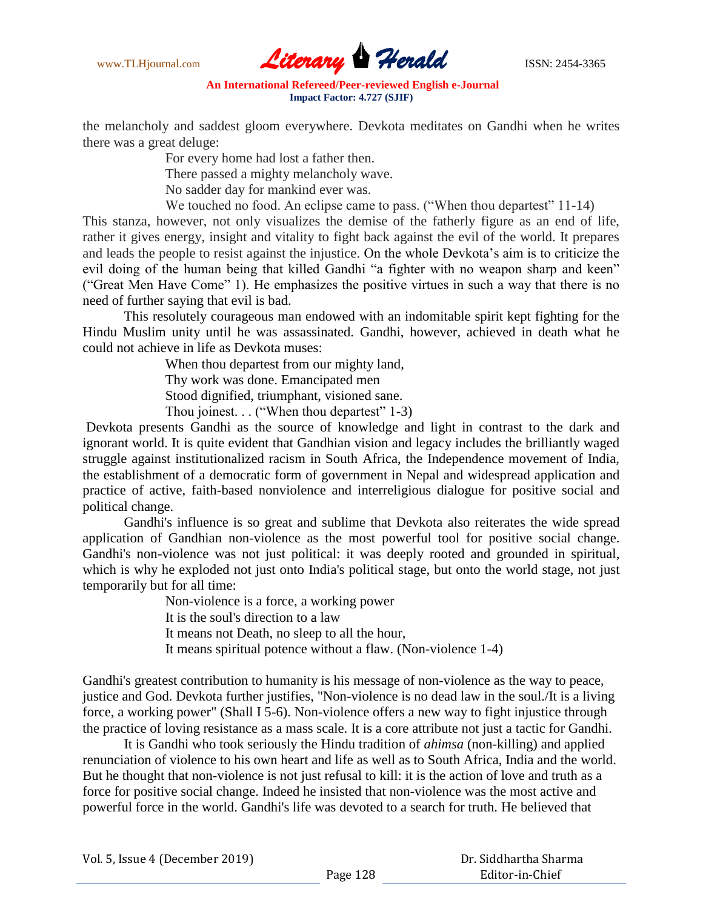

the melancholy and saddest gloom everywhere. Devkota meditates on Gandhi when he writes there was a great deluge:

> For every home had lost a father then. There passed a mighty melancholy wave.

No sadder day for mankind ever was.

We touched no food. An eclipse came to pass. ("When thou departest" 11-14)

This stanza, however, not only visualizes the demise of the fatherly figure as an end of life, rather it gives energy, insight and vitality to fight back against the evil of the world. It prepares and leads the people to resist against the injustice. On the whole Devkota"s aim is to criticize the evil doing of the human being that killed Gandhi "a fighter with no weapon sharp and keen" ("Great Men Have Come" 1). He emphasizes the positive virtues in such a way that there is no need of further saying that evil is bad.

This resolutely courageous man endowed with an indomitable spirit kept fighting for the Hindu Muslim unity until he was assassinated. Gandhi, however, achieved in death what he could not achieve in life as Devkota muses:

> When thou departest from our mighty land, Thy work was done. Emancipated men Stood dignified, triumphant, visioned sane. Thou joinest. . . ("When thou departest" 1-3)

Devkota presents Gandhi as the source of knowledge and light in contrast to the dark and ignorant world. It is quite evident that Gandhian vision and legacy includes the brilliantly waged struggle against institutionalized racism in South Africa, the Independence movement of India, the establishment of a democratic form of government in Nepal and widespread application and practice of active, faith-based nonviolence and interreligious dialogue for positive social and political change.

Gandhi's influence is so great and sublime that Devkota also reiterates the wide spread application of Gandhian non-violence as the most powerful tool for positive social change. Gandhi's non-violence was not just political: it was deeply rooted and grounded in spiritual, which is why he exploded not just onto India's political stage, but onto the world stage, not just temporarily but for all time:

> Non-violence is a force, a working power It is the soul's direction to a law It means not Death, no sleep to all the hour, It means spiritual potence without a flaw. (Non-violence 1-4)

Gandhi's greatest contribution to humanity is his message of non-violence as the way to peace, justice and God. Devkota further justifies, "Non-violence is no dead law in the soul./It is a living force, a working power" (Shall I 5-6). Non-violence offers a new way to fight injustice through the practice of loving resistance as a mass scale. It is a core attribute not just a tactic for Gandhi.

It is Gandhi who took seriously the Hindu tradition of *ahimsa* (non-killing) and applied renunciation of violence to his own heart and life as well as to South Africa, India and the world. But he thought that non-violence is not just refusal to kill: it is the action of love and truth as a force for positive social change. Indeed he insisted that non-violence was the most active and powerful force in the world. Gandhi's life was devoted to a search for truth. He believed that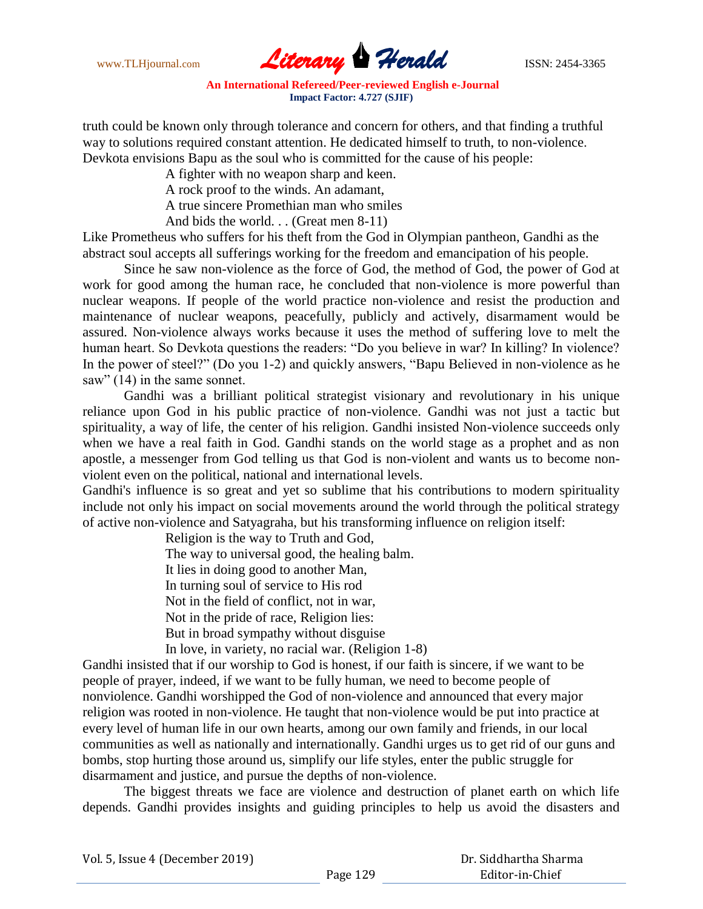www.TLHjournal.com **Literary Herald Herald ISSN: 2454-3365** 

truth could be known only through tolerance and concern for others, and that finding a truthful way to solutions required constant attention. He dedicated himself to truth, to non-violence. Devkota envisions Bapu as the soul who is committed for the cause of his people:

A fighter with no weapon sharp and keen.

A rock proof to the winds. An adamant,

A true sincere Promethian man who smiles

And bids the world. . . (Great men 8-11)

Like Prometheus who suffers for his theft from the God in Olympian pantheon, Gandhi as the abstract soul accepts all sufferings working for the freedom and emancipation of his people.

Since he saw non-violence as the force of God, the method of God, the power of God at work for good among the human race, he concluded that non-violence is more powerful than nuclear weapons. If people of the world practice non-violence and resist the production and maintenance of nuclear weapons, peacefully, publicly and actively, disarmament would be assured. Non-violence always works because it uses the method of suffering love to melt the human heart. So Devkota questions the readers: "Do you believe in war? In killing? In violence? In the power of steel?" (Do you 1-2) and quickly answers, "Bapu Believed in non-violence as he saw" (14) in the same sonnet.

Gandhi was a brilliant political strategist visionary and revolutionary in his unique reliance upon God in his public practice of non-violence. Gandhi was not just a tactic but spirituality, a way of life, the center of his religion. Gandhi insisted Non-violence succeeds only when we have a real faith in God. Gandhi stands on the world stage as a prophet and as non apostle, a messenger from God telling us that God is non-violent and wants us to become nonviolent even on the political, national and international levels.

Gandhi's influence is so great and yet so sublime that his contributions to modern spirituality include not only his impact on social movements around the world through the political strategy of active non-violence and Satyagraha, but his transforming influence on religion itself:

Religion is the way to Truth and God,

The way to universal good, the healing balm.

It lies in doing good to another Man,

In turning soul of service to His rod

Not in the field of conflict, not in war,

Not in the pride of race, Religion lies:

But in broad sympathy without disguise

In love, in variety, no racial war. (Religion 1-8)

Gandhi insisted that if our worship to God is honest, if our faith is sincere, if we want to be people of prayer, indeed, if we want to be fully human, we need to become people of nonviolence. Gandhi worshipped the God of non-violence and announced that every major religion was rooted in non-violence. He taught that non-violence would be put into practice at every level of human life in our own hearts, among our own family and friends, in our local communities as well as nationally and internationally. Gandhi urges us to get rid of our guns and bombs, stop hurting those around us, simplify our life styles, enter the public struggle for disarmament and justice, and pursue the depths of non-violence.

The biggest threats we face are violence and destruction of planet earth on which life depends. Gandhi provides insights and guiding principles to help us avoid the disasters and

| Vol. 5, Issue 4 (December 2019) |  |
|---------------------------------|--|
|---------------------------------|--|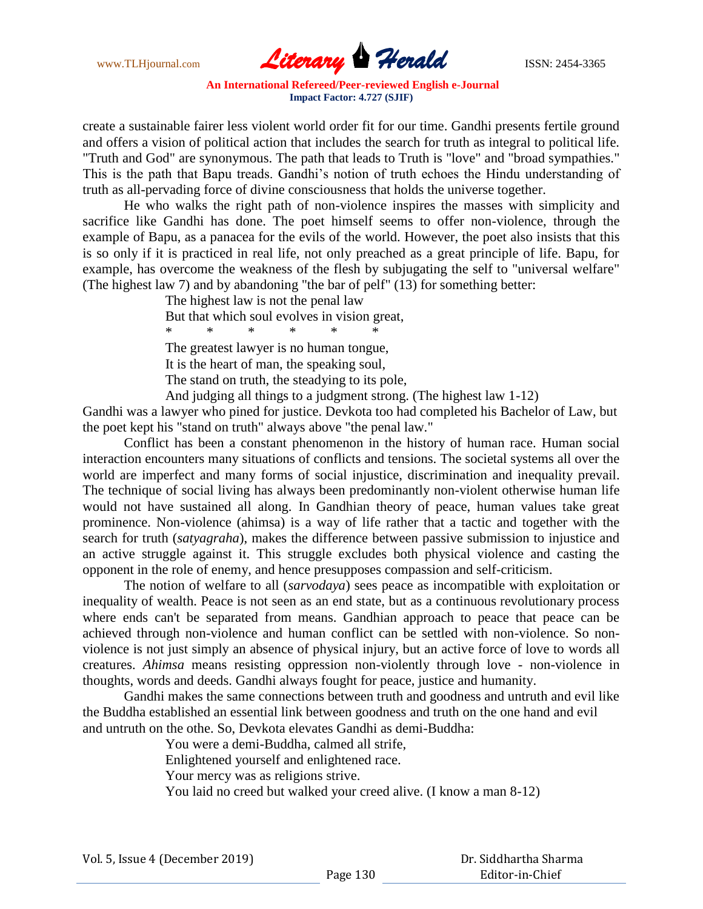www.TLHjournal.com **Literary Herald Herald ISSN: 2454-3365** 

create a sustainable fairer less violent world order fit for our time. Gandhi presents fertile ground and offers a vision of political action that includes the search for truth as integral to political life. "Truth and God" are synonymous. The path that leads to Truth is "love" and "broad sympathies." This is the path that Bapu treads. Gandhi"s notion of truth echoes the Hindu understanding of truth as all-pervading force of divine consciousness that holds the universe together.

He who walks the right path of non-violence inspires the masses with simplicity and sacrifice like Gandhi has done. The poet himself seems to offer non-violence, through the example of Bapu, as a panacea for the evils of the world. However, the poet also insists that this is so only if it is practiced in real life, not only preached as a great principle of life. Bapu, for example, has overcome the weakness of the flesh by subjugating the self to "universal welfare" (The highest law 7) and by abandoning "the bar of pelf" (13) for something better:

The highest law is not the penal law

But that which soul evolves in vision great,

\* \* \* \* \* \*

The greatest lawyer is no human tongue,

It is the heart of man, the speaking soul,

The stand on truth, the steadying to its pole,

And judging all things to a judgment strong. (The highest law 1-12)

Gandhi was a lawyer who pined for justice. Devkota too had completed his Bachelor of Law, but the poet kept his "stand on truth" always above "the penal law."

Conflict has been a constant phenomenon in the history of human race. Human social interaction encounters many situations of conflicts and tensions. The societal systems all over the world are imperfect and many forms of social injustice, discrimination and inequality prevail. The technique of social living has always been predominantly non-violent otherwise human life would not have sustained all along. In Gandhian theory of peace, human values take great prominence. Non-violence (ahimsa) is a way of life rather that a tactic and together with the search for truth (*satyagraha*), makes the difference between passive submission to injustice and an active struggle against it. This struggle excludes both physical violence and casting the opponent in the role of enemy, and hence presupposes compassion and self-criticism.

The notion of welfare to all (*sarvodaya*) sees peace as incompatible with exploitation or inequality of wealth. Peace is not seen as an end state, but as a continuous revolutionary process where ends can't be separated from means. Gandhian approach to peace that peace can be achieved through non-violence and human conflict can be settled with non-violence. So nonviolence is not just simply an absence of physical injury, but an active force of love to words all creatures. *Ahimsa* means resisting oppression non-violently through love - non-violence in thoughts, words and deeds. Gandhi always fought for peace, justice and humanity.

Gandhi makes the same connections between truth and goodness and untruth and evil like the Buddha established an essential link between goodness and truth on the one hand and evil and untruth on the othe. So, Devkota elevates Gandhi as demi-Buddha:

You were a demi-Buddha, calmed all strife,

Enlightened yourself and enlightened race.

Your mercy was as religions strive.

You laid no creed but walked your creed alive. (I know a man 8-12)